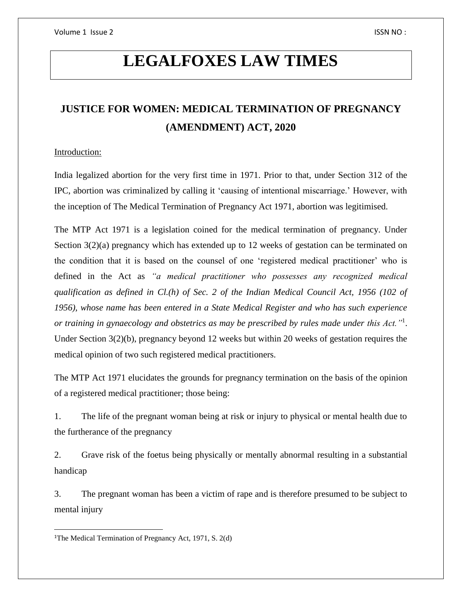# **LEGALFOXES LAW TIMES**

# **JUSTICE FOR WOMEN: MEDICAL TERMINATION OF PREGNANCY (AMENDMENT) ACT, 2020**

## Introduction:

India legalized abortion for the very first time in 1971. Prior to that, under Section 312 of the IPC, abortion was criminalized by calling it 'causing of intentional miscarriage.' However, with the inception of The Medical Termination of Pregnancy Act 1971, abortion was legitimised.

The MTP Act 1971 is a legislation coined for the medical termination of pregnancy. Under Section 3(2)(a) pregnancy which has extended up to 12 weeks of gestation can be terminated on the condition that it is based on the counsel of one 'registered medical practitioner' who is defined in the Act as *"a medical practitioner who possesses any recognized medical qualification as defined in Cl.(h) of Sec. 2 of the Indian Medical Council Act, 1956 (102 of 1956), whose name has been entered in a State Medical Register and who has such experience or training in gynaecology and obstetrics as may be prescribed by rules made under this Act."*<sup>1</sup> . Under Section 3(2)(b), pregnancy beyond 12 weeks but within 20 weeks of gestation requires the medical opinion of two such registered medical practitioners.

The MTP Act 1971 elucidates the grounds for pregnancy termination on the basis of the opinion of a registered medical practitioner; those being:

1. The life of the pregnant woman being at risk or injury to physical or mental health due to the furtherance of the pregnancy

2. Grave risk of the foetus being physically or mentally abnormal resulting in a substantial handicap

3. The pregnant woman has been a victim of rape and is therefore presumed to be subject to mental injury

 $\overline{\phantom{a}}$ 

<sup>&</sup>lt;sup>1</sup>The Medical Termination of Pregnancy Act, 1971, S. 2(d)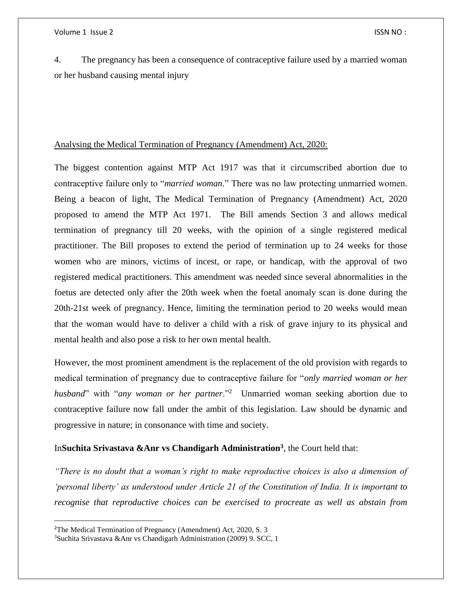4. The pregnancy has been a consequence of contraceptive failure used by a married woman or her husband causing mental injury

#### Analysing the Medical Termination of Pregnancy (Amendment) Act, 2020:

The biggest contention against MTP Act 1917 was that it circumscribed abortion due to contraceptive failure only to "*married woman*." There was no law protecting unmarried women. Being a beacon of light, The Medical Termination of Pregnancy (Amendment) Act, 2020 proposed to amend the MTP Act 1971. The Bill amends Section 3 and allows medical termination of pregnancy till 20 weeks, with the opinion of a single registered medical practitioner. The Bill proposes to extend the period of termination up to 24 weeks for those women who are minors, victims of incest, or rape, or handicap, with the approval of two registered medical practitioners. This amendment was needed since several abnormalities in the foetus are detected only after the 20th week when the foetal anomaly scan is done during the 20th-21st week of pregnancy. Hence, limiting the termination period to 20 weeks would mean that the woman would have to deliver a child with a risk of grave injury to its physical and mental health and also pose a risk to her own mental health.

However, the most prominent amendment is the replacement of the old provision with regards to medical termination of pregnancy due to contraceptive failure for "*only married woman or her*  husband" with "any woman or her partner."<sup>2</sup> Unmarried woman seeking abortion due to contraceptive failure now fall under the ambit of this legislation. Law should be dynamic and progressive in nature; in consonance with time and society.

### In**Suchita Srivastava &Anr vs Chandigarh Administration<sup>3</sup>** , the Court held that:

*"There is no doubt that a woman's right to make reproductive choices is also a dimension of 'personal liberty' as understood under Article 21 of the Constitution of India. It is important to recognise that reproductive choices can be exercised to procreate as well as abstain from* 

l

<sup>2</sup>The Medical Termination of Pregnancy (Amendment) Act, 2020, S. 3

<sup>3</sup>Suchita Srivastava &Anr vs Chandigarh Administration (2009) 9. SCC, 1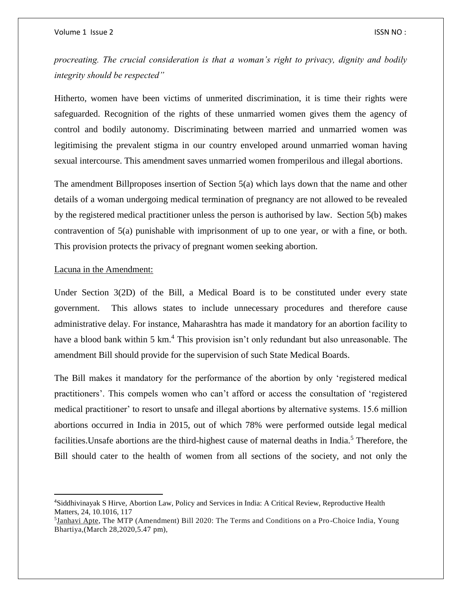*procreating. The crucial consideration is that a woman's right to privacy, dignity and bodily integrity should be respected"* 

Hitherto, women have been victims of unmerited discrimination, it is time their rights were safeguarded. Recognition of the rights of these unmarried women gives them the agency of control and bodily autonomy. Discriminating between married and unmarried women was legitimising the prevalent stigma in our country enveloped around unmarried woman having sexual intercourse. This amendment saves unmarried women fromperilous and illegal abortions.

The amendment Billproposes insertion of Section 5(a) which lays down that the name and other details of a woman undergoing medical termination of pregnancy are not allowed to be revealed by the registered medical practitioner unless the person is authorised by law. Section 5(b) makes contravention of 5(a) punishable with imprisonment of up to one year, or with a fine, or both. This provision protects the privacy of pregnant women seeking abortion.

#### Lacuna in the Amendment:

 $\overline{\phantom{a}}$ 

Under Section 3(2D) of the Bill, a Medical Board is to be constituted under every state government. This allows states to include unnecessary procedures and therefore cause administrative delay. For instance, Maharashtra has made it mandatory for an abortion facility to have a blood bank within 5 km.<sup>4</sup> This provision isn't only redundant but also unreasonable. The amendment Bill should provide for the supervision of such State Medical Boards.

The Bill makes it mandatory for the performance of the abortion by only 'registered medical practitioners'. This compels women who can't afford or access the consultation of 'registered medical practitioner' to resort to unsafe and illegal abortions by alternative systems. 15.6 million abortions occurred in India in 2015, out of which 78% were performed outside legal medical facilities. Unsafe abortions are the third-highest cause of maternal deaths in India.<sup>5</sup> Therefore, the Bill should cater to the health of women from all sections of the society, and not only the

<sup>4</sup>Siddhivinayak S Hirve, Abortion Law, Policy and Services in India: A Critical Review, Reproductive Health Matters, 24, 10.1016, 117

<sup>&</sup>lt;sup>5</sup>[Janhavi](https://www.youngbhartiya.com/follow/profile/janhavi_apte) Apte, The MTP (Amendment) Bill 2020: The Terms and Conditions on a Pro-Choice India, Young Bhartiya,(March 28,2020,5.47 pm),